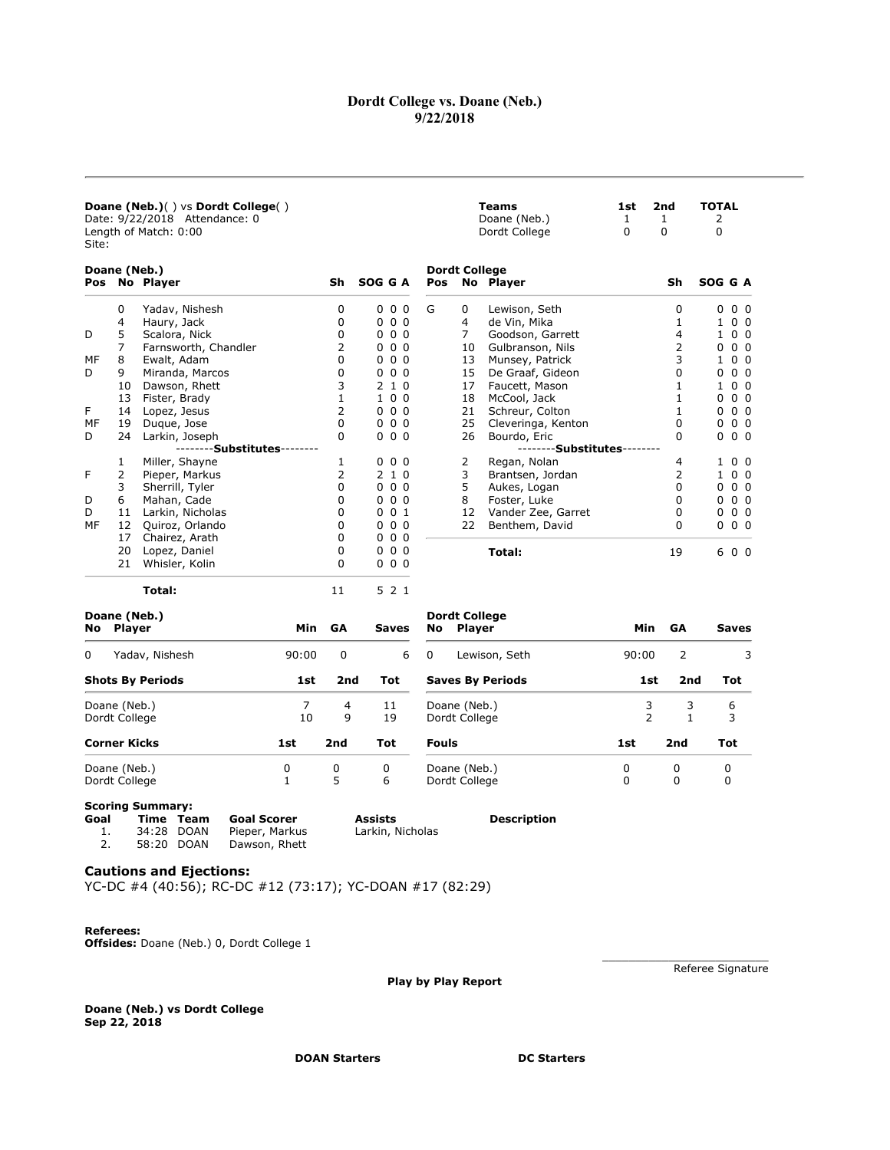## Dordt College vs. Doane (Neb.) 9/22/2018

**Teams** 1st 2nd TOTAL<br>
Doane (Neb.) 1 1 2<br>
Dordt College 0 0 0 Doane (Neb.) 1 1 2 Dordt College  $0$  0 0 0

### Doane (Neb.)( ) vs Dordt College( ) Date: 9/22/2018 Attendance: 0 Length of Match: 0:00 Site:

|                                                                                                                          | Doane (Neb.)   |                      |     |                            | <b>Dordt College</b> |               |                      |                                                                          |                |                |  |  |
|--------------------------------------------------------------------------------------------------------------------------|----------------|----------------------|-----|----------------------------|----------------------|---------------|----------------------|--------------------------------------------------------------------------|----------------|----------------|--|--|
|                                                                                                                          |                |                      | Sh  | SOG G A                    | Pos                  |               | No Player            | Sh                                                                       |                |                |  |  |
| Pos No Player<br>0<br>4<br>5<br>D<br>7<br>8<br>МF<br>9<br>D<br>10<br>13<br>F<br>14<br>MF<br>19<br>D<br>24<br>1<br>F<br>2 | Yadav, Nishesh | 0                    | 000 | G                          | 0                    | Lewison, Seth | 0                    | SOG G A<br>0<br>0<br>0<br>0<br>0<br>0<br>0<br>1<br>0<br>0<br>0<br>0<br>6 | 0 <sub>0</sub> |                |  |  |
|                                                                                                                          |                | Haury, Jack          | 0   | 0 <sub>0</sub><br>0        |                      | 4             | de Vin, Mika         | 1                                                                        |                | 0 <sub>0</sub> |  |  |
|                                                                                                                          |                | Scalora, Nick        | 0   | 0 <sub>0</sub><br>$\Omega$ |                      | 7             | Goodson, Garrett     | 4                                                                        |                | 0 <sub>0</sub> |  |  |
|                                                                                                                          |                | Farnsworth, Chandler | 2   | 0 <sub>0</sub><br>0        |                      | 10            | Gulbranson, Nils     | 2                                                                        |                | 0 <sub>0</sub> |  |  |
|                                                                                                                          |                | Ewalt, Adam          | 0   | 0 <sub>0</sub><br>$\Omega$ |                      | 13            | Munsey, Patrick      | 3                                                                        |                | 0 <sub>0</sub> |  |  |
|                                                                                                                          |                | Miranda, Marcos      | 0   | 0 <sub>0</sub><br>0        |                      | 15            | De Graaf, Gideon     | 0                                                                        |                | 0 <sub>0</sub> |  |  |
|                                                                                                                          |                | Dawson, Rhett        | 3   | 1 0<br>2                   |                      | 17            | Faucett, Mason       |                                                                          |                | 0 <sub>0</sub> |  |  |
|                                                                                                                          |                | Fister, Brady        |     | 100                        |                      | 18            | McCool, Jack         |                                                                          |                | 0 <sub>0</sub> |  |  |
|                                                                                                                          |                | Lopez, Jesus         | 2   | 0 <sub>0</sub><br>$\Omega$ |                      | 21            | Schreur, Colton      |                                                                          |                | 0 <sub>0</sub> |  |  |
|                                                                                                                          |                | Duque, Jose          | 0   | 0 <sub>0</sub><br>0        |                      | 25<br>26      | Cleveringa, Kenton   | 0<br>0                                                                   |                | 0 <sub>0</sub> |  |  |
|                                                                                                                          |                | Larkin, Joseph       | 0   | 000                        |                      |               | Bourdo, Eric         |                                                                          |                | 0 <sub>0</sub> |  |  |
|                                                                                                                          |                | --------Substitutes- |     |                            |                      |               | --------Substitutes- |                                                                          |                |                |  |  |
|                                                                                                                          |                | Miller, Shayne       | 1   | 000                        |                      | 2             | Regan, Nolan         | 4                                                                        |                | 0 <sub>0</sub> |  |  |
|                                                                                                                          |                | Pieper, Markus       | 2   | 210                        |                      | 3             | Brantsen, Jordan     | 2                                                                        |                | 0 <sub>0</sub> |  |  |
|                                                                                                                          | 3              | Sherrill, Tyler      | 0   | 0 <sub>0</sub><br>0        |                      | 5             | Aukes, Logan         | 0                                                                        |                | 0 <sub>0</sub> |  |  |
| D                                                                                                                        | 6              | Mahan, Cade          | 0   | 0 <sub>0</sub><br>0        |                      | 8             | Foster, Luke         | 0                                                                        |                | 0 <sub>0</sub> |  |  |
| D                                                                                                                        | 11             | Larkin, Nicholas     | 0   | 0 <sub>1</sub><br>0        |                      | 12            | Vander Zee, Garret   | 0                                                                        |                | 0 <sub>0</sub> |  |  |
| МF                                                                                                                       | 12             | Quiroz, Orlando      | 0   | 0 <sub>0</sub><br>$\Omega$ |                      | 22            | Benthem, David       | 0                                                                        |                | 0 <sub>0</sub> |  |  |
|                                                                                                                          | 17             | Chairez, Arath       | 0   | 000                        |                      |               |                      |                                                                          |                |                |  |  |
|                                                                                                                          | 20             | Lopez, Daniel        | 0   | 000                        |                      |               | Total:               | 19                                                                       |                | 0 <sub>0</sub> |  |  |
|                                                                                                                          | 21             | Whisler, Kolin       | 0   | 000                        |                      |               |                      |                                                                          |                |                |  |  |
|                                                                                                                          |                | Total:               | 11  | 5 2 1                      |                      |               |                      |                                                                          |                |                |  |  |
|                                                                                                                          |                | Doane (Neb.)         |     |                            | Dordt College        |               |                      |                                                                          |                |                |  |  |

| 90:00 |                 |            |
|-------|-----------------|------------|
|       | 2               | 3          |
| 1st   | 2nd             | Tot        |
| 3     | 3               | 6          |
| 2     |                 | 3          |
| 1st   | 2 <sub>nd</sub> | <b>Tot</b> |
| 0     | 0               | 0          |
| 0     | 0               | 0          |
|       |                 |            |

# Scoring Summary:

| Goal |            | Time Team | Goal Scorer    | Assists          |
|------|------------|-----------|----------------|------------------|
|      | 34:28 DOAN |           | Pieper, Markus | Larkin, Nicholas |
|      | 58:20 DOAN |           | Dawson, Rhett  |                  |

# **Description**

Cautions and Ejections: YC-DC #4 (40:56); RC-DC #12 (73:17); YC-DOAN #17 (82:29)

### Referees:

Offsides: Doane (Neb.) 0, Dordt College 1

Play by Play Report

Referee Signature

Doane (Neb.) vs Dordt College Sep 22, 2018

DOAN Starters DC Starters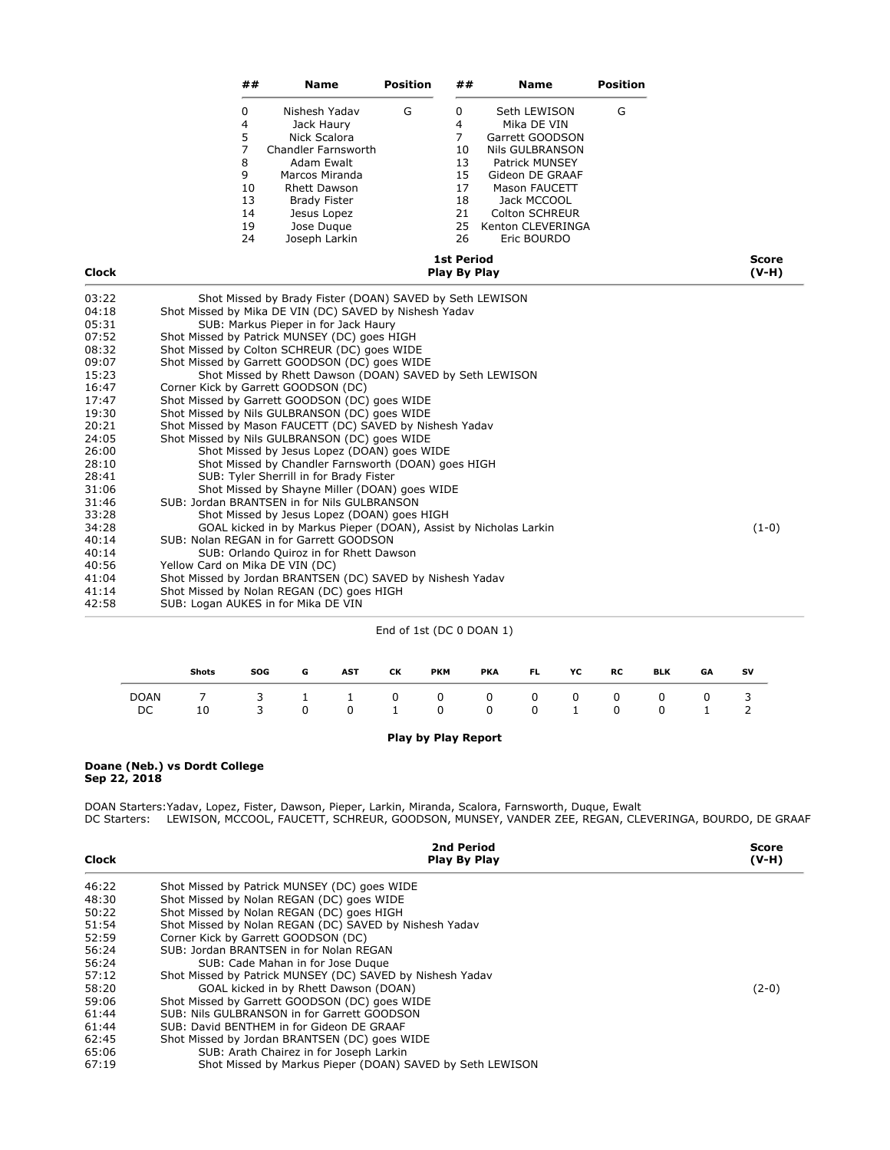| ##       | <b>Name</b>         | <b>Position</b> | ##                  | Name                  | <b>Position</b> |       |
|----------|---------------------|-----------------|---------------------|-----------------------|-----------------|-------|
| $\Omega$ | Nishesh Yadav       | G               | 0                   | Seth LEWISON          | G               |       |
| 4        | Jack Haury          |                 | 4                   | Mika DE VIN           |                 |       |
| 5        | Nick Scalora        |                 | 7                   | Garrett GOODSON       |                 |       |
|          | Chandler Farnsworth |                 | 10                  | Nils GULBRANSON       |                 |       |
| 8        | Adam Ewalt          |                 | 13                  | <b>Patrick MUNSEY</b> |                 |       |
| 9        | Marcos Miranda      |                 | 15                  | Gideon DE GRAAF       |                 |       |
| 10       | <b>Rhett Dawson</b> |                 | 17                  | Mason FAUCETT         |                 |       |
| 13       | <b>Brady Fister</b> |                 | 18                  | Jack MCCOOL           |                 |       |
| 14       | Jesus Lopez         |                 | 21                  | <b>Colton SCHREUR</b> |                 |       |
| 19       | Jose Dugue          |                 | 25                  | Kenton CLEVERINGA     |                 |       |
| 24       | Joseph Larkin       |                 | 26                  | Eric BOURDO           |                 |       |
|          |                     |                 | <b>1st Period</b>   |                       |                 | Score |
|          |                     |                 | <b>Play By Play</b> |                       |                 | (V-H) |

## Clock **Play By Play By Play 6**

| 03:22 | Shot Missed by Brady Fister (DOAN) SAVED by Seth LEWISON          |         |
|-------|-------------------------------------------------------------------|---------|
| 04:18 | Shot Missed by Mika DE VIN (DC) SAVED by Nishesh Yadav            |         |
| 05:31 | SUB: Markus Pieper in for Jack Haury                              |         |
| 07:52 | Shot Missed by Patrick MUNSEY (DC) goes HIGH                      |         |
| 08:32 | Shot Missed by Colton SCHREUR (DC) goes WIDE                      |         |
| 09:07 | Shot Missed by Garrett GOODSON (DC) goes WIDE                     |         |
| 15:23 | Shot Missed by Rhett Dawson (DOAN) SAVED by Seth LEWISON          |         |
| 16:47 | Corner Kick by Garrett GOODSON (DC)                               |         |
| 17:47 | Shot Missed by Garrett GOODSON (DC) goes WIDE                     |         |
| 19:30 | Shot Missed by Nils GULBRANSON (DC) goes WIDE                     |         |
| 20:21 | Shot Missed by Mason FAUCETT (DC) SAVED by Nishesh Yadav          |         |
| 24:05 | Shot Missed by Nils GULBRANSON (DC) goes WIDE                     |         |
| 26:00 | Shot Missed by Jesus Lopez (DOAN) goes WIDE                       |         |
| 28:10 | Shot Missed by Chandler Farnsworth (DOAN) goes HIGH               |         |
| 28:41 | SUB: Tyler Sherrill in for Brady Fister                           |         |
| 31:06 | Shot Missed by Shayne Miller (DOAN) goes WIDE                     |         |
| 31:46 | SUB: Jordan BRANTSEN in for Nils GULBRANSON                       |         |
| 33:28 | Shot Missed by Jesus Lopez (DOAN) goes HIGH                       |         |
| 34:28 | GOAL kicked in by Markus Pieper (DOAN), Assist by Nicholas Larkin | $(1-0)$ |
| 40:14 | SUB: Nolan REGAN in for Garrett GOODSON                           |         |
| 40:14 | SUB: Orlando Quiroz in for Rhett Dawson                           |         |
| 40:56 | Yellow Card on Mika DE VIN (DC)                                   |         |
| 41:04 | Shot Missed by Jordan BRANTSEN (DC) SAVED by Nishesh Yadav        |         |
| 41:14 | Shot Missed by Nolan REGAN (DC) goes HIGH                         |         |
| 42:58 | SUB: Logan AUKES in for Mika DE VIN                               |         |
|       |                                                                   |         |

## End of 1st (DC 0 DOAN 1)

|             | <b>Shots</b>              | <b>SOG</b> | G                 | <b>AST</b> | CК                                     | <b>PKM</b>   | <b>PKA</b> | FL. | YC                    | RC           | <b>BLK</b> | GA          | sv |
|-------------|---------------------------|------------|-------------------|------------|----------------------------------------|--------------|------------|-----|-----------------------|--------------|------------|-------------|----|
| DOAN<br>DC. | 7 3 1 1 0 0 0 0 0 0<br>10 | 3          | $0 \qquad \qquad$ |            | $\begin{array}{ccc} 0 & 1 \end{array}$ | $\mathbf{0}$ |            |     | $0 \qquad 0 \qquad 1$ | $\mathbf{0}$ |            | $0\qquad 0$ |    |

## Play by Play Report

#### Doane (Neb.) vs Dordt College Sep 22, 2018

DOAN Starters:Yadav, Lopez, Fister, Dawson, Pieper, Larkin, Miranda, Scalora, Farnsworth, Duque, Ewalt DC Starters: LEWISON, MCCOOL, FAUCETT, SCHREUR, GOODSON, MUNSEY, VANDER ZEE, REGAN, CLEVERINGA, BOURDO, DE GRAAF

| <b>Clock</b> | 2nd Period<br>Play By Play                                | Score<br>$(V-H)$ |
|--------------|-----------------------------------------------------------|------------------|
| 46:22        | Shot Missed by Patrick MUNSEY (DC) goes WIDE              |                  |
| 48:30        | Shot Missed by Nolan REGAN (DC) goes WIDE                 |                  |
| 50:22        | Shot Missed by Nolan REGAN (DC) goes HIGH                 |                  |
| 51:54        | Shot Missed by Nolan REGAN (DC) SAVED by Nishesh Yadav    |                  |
| 52:59        | Corner Kick by Garrett GOODSON (DC)                       |                  |
| 56:24        | SUB: Jordan BRANTSEN in for Nolan REGAN                   |                  |
| 56:24        | SUB: Cade Mahan in for Jose Dugue                         |                  |
| 57:12        | Shot Missed by Patrick MUNSEY (DC) SAVED by Nishesh Yadav |                  |
| 58:20        | GOAL kicked in by Rhett Dawson (DOAN)                     | $(2-0)$          |
| 59:06        | Shot Missed by Garrett GOODSON (DC) goes WIDE             |                  |
| 61:44        | SUB: Nils GULBRANSON in for Garrett GOODSON               |                  |
| 61:44        | SUB: David BENTHEM in for Gideon DE GRAAF                 |                  |
| 62:45        | Shot Missed by Jordan BRANTSEN (DC) goes WIDE             |                  |
| 65:06        | SUB: Arath Chairez in for Joseph Larkin                   |                  |
| 67:19        | Shot Missed by Markus Pieper (DOAN) SAVED by Seth LEWISON |                  |